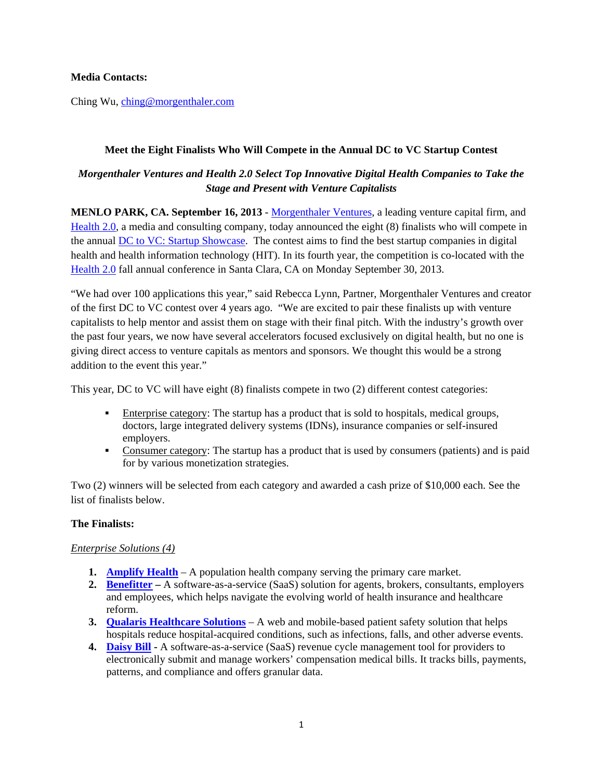**Media Contacts:** 

Ching Wu, ching@morgenthaler.com

### **Meet the Eight Finalists Who Will Compete in the Annual DC to VC Startup Contest**

# *Morgenthaler Ventures and Health 2.0 Select Top Innovative Digital Health Companies to Take the Stage and Present with Venture Capitalists*

**MENLO PARK, CA. September 16, 2013** - Morgenthaler Ventures, a leading venture capital firm, and Health 2.0, a media and consulting company, today announced the eight (8) finalists who will compete in the annual DC to VC: Startup Showcase. The contest aims to find the best startup companies in digital health and health information technology (HIT). In its fourth year, the competition is co-located with the Health 2.0 fall annual conference in Santa Clara, CA on Monday September 30, 2013.

"We had over 100 applications this year," said Rebecca Lynn, Partner, Morgenthaler Ventures and creator of the first DC to VC contest over 4 years ago. "We are excited to pair these finalists up with venture capitalists to help mentor and assist them on stage with their final pitch. With the industry's growth over the past four years, we now have several accelerators focused exclusively on digital health, but no one is giving direct access to venture capitals as mentors and sponsors. We thought this would be a strong addition to the event this year."

This year, DC to VC will have eight (8) finalists compete in two (2) different contest categories:

- Enterprise category: The startup has a product that is sold to hospitals, medical groups, doctors, large integrated delivery systems (IDNs), insurance companies or self-insured employers.
- Consumer category: The startup has a product that is used by consumers (patients) and is paid for by various monetization strategies.

Two (2) winners will be selected from each category and awarded a cash prize of \$10,000 each. See the list of finalists below.

### **The Finalists:**

### *Enterprise Solutions (4)*

- **1. Amplify Health** A population health company serving the primary care market.
- **2. Benefitter** A software-as-a-service (SaaS) solution for agents, brokers, consultants, employers and employees, which helps navigate the evolving world of health insurance and healthcare reform.
- **3. Qualaris Healthcare Solutions** A web and mobile-based patient safety solution that helps hospitals reduce hospital-acquired conditions, such as infections, falls, and other adverse events.
- **4. Daisy Bill** A software-as-a-service (SaaS) revenue cycle management tool for providers to electronically submit and manage workers' compensation medical bills. It tracks bills, payments, patterns, and compliance and offers granular data.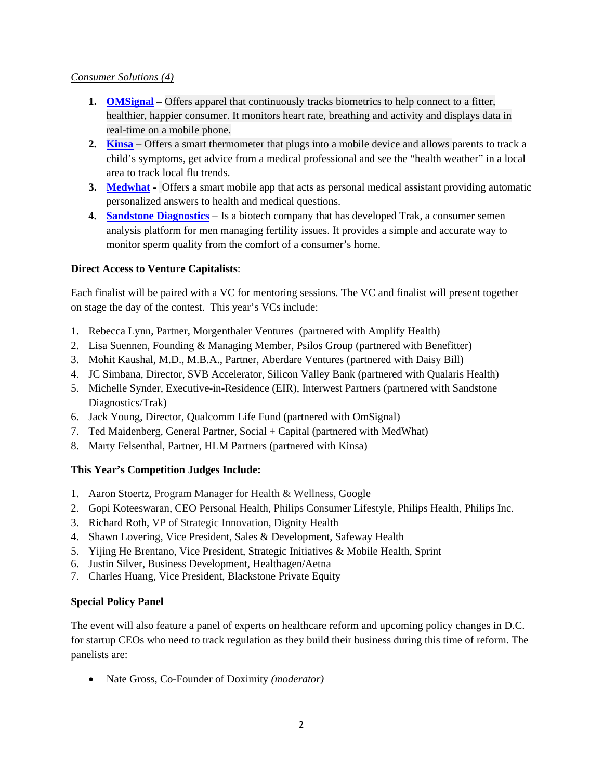### *Consumer Solutions (4)*

- **1. OMSignal** Offers apparel that continuously tracks biometrics to help connect to a fitter, healthier, happier consumer. It monitors heart rate, breathing and activity and displays data in real-time on a mobile phone.
- **2. Kinsa** Offers a smart thermometer that plugs into a mobile device and allows parents to track a child's symptoms, get advice from a medical professional and see the "health weather" in a local area to track local flu trends.
- **3. Medwhat** Offers a smart mobile app that acts as personal medical assistant providing automatic personalized answers to health and medical questions.
- **4. Sandstone Diagnostics** Is a biotech company that has developed Trak, a consumer semen analysis platform for men managing fertility issues. It provides a simple and accurate way to monitor sperm quality from the comfort of a consumer's home.

## **Direct Access to Venture Capitalists**:

Each finalist will be paired with a VC for mentoring sessions. The VC and finalist will present together on stage the day of the contest. This year's VCs include:

- 1. Rebecca Lynn, Partner, Morgenthaler Ventures (partnered with Amplify Health)
- 2. Lisa Suennen, Founding & Managing Member, Psilos Group (partnered with Benefitter)
- 3. Mohit Kaushal, M.D., M.B.A., Partner, Aberdare Ventures (partnered with Daisy Bill)
- 4. JC Simbana, Director, SVB Accelerator, Silicon Valley Bank (partnered with Qualaris Health)
- 5. Michelle Synder, Executive-in-Residence (EIR), Interwest Partners (partnered with Sandstone Diagnostics/Trak)
- 6. Jack Young, Director, Qualcomm Life Fund (partnered with OmSignal)
- 7. Ted Maidenberg, General Partner, Social + Capital (partnered with MedWhat)
- 8. Marty Felsenthal, Partner, HLM Partners (partnered with Kinsa)

## **This Year's Competition Judges Include:**

- 1. Aaron Stoertz, Program Manager for Health & Wellness, Google
- 2. Gopi Koteeswaran, CEO Personal Health, Philips Consumer Lifestyle, Philips Health, Philips Inc.
- 3. Richard Roth, VP of Strategic Innovation, Dignity Health
- 4. Shawn Lovering, Vice President, Sales & Development, Safeway Health
- 5. Yijing He Brentano, Vice President, Strategic Initiatives & Mobile Health, Sprint
- 6. Justin Silver, Business Development, Healthagen/Aetna
- 7. Charles Huang, Vice President, Blackstone Private Equity

### **Special Policy Panel**

The event will also feature a panel of experts on healthcare reform and upcoming policy changes in D.C. for startup CEOs who need to track regulation as they build their business during this time of reform. The panelists are:

Nate Gross, Co-Founder of Doximity *(moderator)*